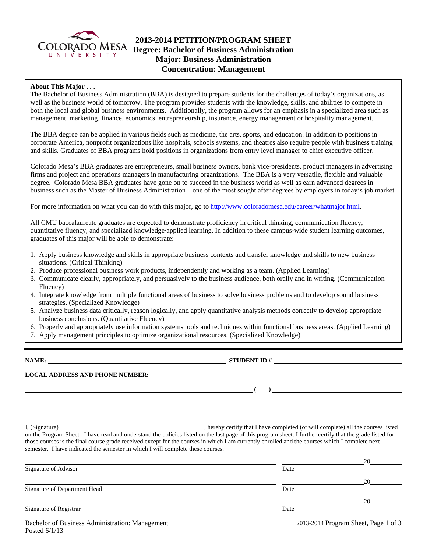

# **2013-2014 PETITION/PROGRAM SHEET**  COLORADO MESA **Degree: Bachelor of Business Administration Major: Business Administration Concentration: Management**

### **About This Major . . .**

The Bachelor of Business Administration (BBA) is designed to prepare students for the challenges of today's organizations, as well as the business world of tomorrow. The program provides students with the knowledge, skills, and abilities to compete in both the local and global business environments. Additionally, the program allows for an emphasis in a specialized area such as management, marketing, finance, economics, entrepreneurship, insurance, energy management or hospitality management.

The BBA degree can be applied in various fields such as medicine, the arts, sports, and education. In addition to positions in corporate America, nonprofit organizations like hospitals, schools systems, and theatres also require people with business training and skills. Graduates of BBA programs hold positions in organizations from entry level manager to chief executive officer.

Colorado Mesa's BBA graduates are entrepreneurs, small business owners, bank vice-presidents, product managers in advertising firms and project and operations managers in manufacturing organizations. The BBA is a very versatile, flexible and valuable degree. Colorado Mesa BBA graduates have gone on to succeed in the business world as well as earn advanced degrees in business such as the Master of Business Administration – one of the most sought after degrees by employers in today's job market.

For more information on what you can do with this major, go to http://www.coloradomesa.edu/career/whatmajor.html.

All CMU baccalaureate graduates are expected to demonstrate proficiency in critical thinking, communication fluency, quantitative fluency, and specialized knowledge/applied learning. In addition to these campus-wide student learning outcomes, graduates of this major will be able to demonstrate:

- 1. Apply business knowledge and skills in appropriate business contexts and transfer knowledge and skills to new business situations. (Critical Thinking)
- 2. Produce professional business work products, independently and working as a team. (Applied Learning)
- 3. Communicate clearly, appropriately, and persuasively to the business audience, both orally and in writing. (Communication Fluency)
- 4. Integrate knowledge from multiple functional areas of business to solve business problems and to develop sound business strategies. (Specialized Knowledge)
- 5. Analyze business data critically, reason logically, and apply quantitative analysis methods correctly to develop appropriate business conclusions. (Quantitative Fluency)
- 6. Properly and appropriately use information systems tools and techniques within functional business areas. (Applied Learning)
- 7. Apply management principles to optimize organizational resources. (Specialized Knowledge)

**NAME: STUDENT ID #**

**LOCAL ADDRESS AND PHONE NUMBER:**

 **( )** 

I, (Signature) **Solution** , hereby certify that I have completed (or will complete) all the courses listed on the Program Sheet. I have read and understand the policies listed on the last page of this program sheet. I further certify that the grade listed for those courses is the final course grade received except for the courses in which I am currently enrolled and the courses which I complete next semester. I have indicated the semester in which I will complete these courses.

|                              |      | 20 |
|------------------------------|------|----|
| Signature of Advisor         | Date |    |
|                              |      | 20 |
| Signature of Department Head | Date |    |
|                              |      | 20 |
| Signature of Registrar       | Date |    |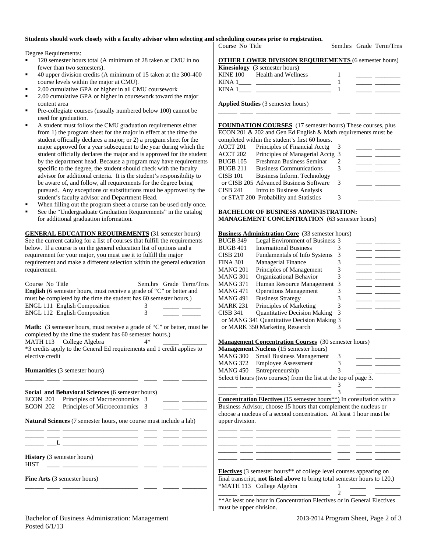#### **Students should work closely with a faculty advisor when selecting and scheduling courses prior to registration.**

Degree Requirements:

- 120 semester hours total (A minimum of 28 taken at CMU in no fewer than two semesters).
- 40 upper division credits (A minimum of 15 taken at the 300-400 course levels within the major at CMU).
- 2.00 cumulative GPA or higher in all CMU coursework
- 2.00 cumulative GPA or higher in coursework toward the major content area
- Pre-collegiate courses (usually numbered below 100) cannot be used for graduation.
- A student must follow the CMU graduation requirements either from 1) the program sheet for the major in effect at the time the student officially declares a major; or 2) a program sheet for the major approved for a year subsequent to the year during which the student officially declares the major and is approved for the student by the department head. Because a program may have requirements specific to the degree, the student should check with the faculty advisor for additional criteria. It is the student's responsibility to be aware of, and follow, all requirements for the degree being pursued. Any exceptions or substitutions must be approved by the student's faculty advisor and Department Head.
- When filling out the program sheet a course can be used only once.
- See the "Undergraduate Graduation Requirements" in the catalog for additional graduation information.

**GENERAL EDUCATION REQUIREMENTS** (31 semester hours) See the current catalog for a list of courses that fulfill the requirements below. If a course is on the general education list of options and a requirement for your major, you must use it to fulfill the major requirement and make a different selection within the general education requirement.

| Course No Title<br><b>English</b> (6 semester hours, must receive a grade of "C" or better and<br>must be completed by the time the student has 60 semester hours.)<br><b>ENGL 111 English Composition</b><br><b>ENGL 112 English Composition</b>          | Sem.hrs Grade Term/Trns<br>3<br>3 |  |  |  |  |  |
|------------------------------------------------------------------------------------------------------------------------------------------------------------------------------------------------------------------------------------------------------------|-----------------------------------|--|--|--|--|--|
| <b>Math:</b> (3 semester hours, must receive a grade of "C" or better, must be<br>completed by the time the student has 60 semester hours.)<br>MATH 113 College Algebra<br>$4*$<br>*3 credits apply to the General Ed requirements and 1 credit applies to |                                   |  |  |  |  |  |
| elective credit                                                                                                                                                                                                                                            |                                   |  |  |  |  |  |
| <b>Humanities</b> (3 semester hours)                                                                                                                                                                                                                       |                                   |  |  |  |  |  |
| <b>Social and Behavioral Sciences</b> (6 semester hours)                                                                                                                                                                                                   |                                   |  |  |  |  |  |
| Principles of Macroeconomics 3<br>ECON 201                                                                                                                                                                                                                 |                                   |  |  |  |  |  |
| Principles of Microeconomics 3<br>ECON 202                                                                                                                                                                                                                 |                                   |  |  |  |  |  |
| <b>Natural Sciences</b> (7 semester hours, one course must include a lab)                                                                                                                                                                                  |                                   |  |  |  |  |  |
|                                                                                                                                                                                                                                                            |                                   |  |  |  |  |  |
| <b>History</b> (3 semester hours)                                                                                                                                                                                                                          |                                   |  |  |  |  |  |

\_\_\_\_\_\_ \_\_\_\_ \_\_\_\_\_\_\_\_\_\_\_\_\_\_\_\_\_\_\_\_\_\_\_\_ \_\_\_\_ \_\_\_\_\_ \_\_\_\_\_\_\_\_

HIST \_\_\_\_ \_\_\_\_\_\_\_\_\_\_\_\_\_\_\_\_\_\_\_\_\_\_\_\_ \_\_\_\_ \_\_\_\_\_ \_\_\_\_\_\_\_\_

**Fine Arts** (3 semester hours)

Course No Title Sem.hrs Grade Term/Trns

|          | <b>Kinesiology</b> (3 semester hours) |  |
|----------|---------------------------------------|--|
| KINE 100 | Health and Wellness                   |  |
| ---- - - |                                       |  |

KINA  $1 \qquad \qquad$   $\qquad \qquad$  1 KINA  $1 \qquad \qquad$   $\qquad \qquad$   $\qquad \qquad$   $\qquad \qquad$   $\qquad \qquad$   $\qquad \qquad$   $\qquad \qquad$   $\qquad \qquad$   $\qquad \qquad$   $\qquad \qquad$   $\qquad \qquad$   $\qquad \qquad$   $\qquad$   $\qquad \qquad$   $\qquad$   $\qquad \qquad$   $\qquad$   $\qquad$   $\qquad$   $\qquad$   $\qquad$   $\qquad$   $\qquad$   $\qquad$   $\qquad$   $\qquad$   $\qquad$   $\qquad$   $\qquad$ 

**Applied Studies** (3 semester hours)

**FOUNDATION COURSES** (17 semester hours) These courses, plus ECON 201 & 202 and Gen Ed English & Math requirements must be completed within the student's first 60 hours.

\_\_\_\_\_\_ \_\_\_\_ \_\_\_\_\_\_\_\_\_\_\_\_\_\_\_\_\_\_\_\_\_\_\_\_ \_\_\_\_ \_\_\_\_\_ \_\_\_\_\_\_\_\_

|          | compreted within the stadent s mist of hours. |   |  |
|----------|-----------------------------------------------|---|--|
| ACCT 201 | Principles of Financial Acctg                 |   |  |
| ACCT 202 | Principles of Managerial Acctg 3              |   |  |
| BUGB 105 | Freshman Business Seminar                     |   |  |
| BUGB 211 | <b>Business Communications</b>                |   |  |
| CISB 101 | Business Inform. Technology                   |   |  |
|          | or CISB 205 Advanced Business Software        | 3 |  |
| CISB 241 | Intro to Business Analysis                    |   |  |
|          | or STAT 200 Probability and Statistics        |   |  |
|          |                                               |   |  |

### **BACHELOR OF BUSINESS ADMINISTRATION: MANAGEMENT CONCENTRATION** (63 semester hours)

#### **Business Administration Core** (33 semester hours)

| <b>BUGB 349</b> | Legal Environment of Business 3            |   |  |
|-----------------|--------------------------------------------|---|--|
| <b>BUGB 401</b> | <b>International Business</b>              |   |  |
| <b>CISB 210</b> | Fundamentals of Info Systems               |   |  |
| <b>FINA 301</b> | <b>Managerial Finance</b>                  |   |  |
| MANG 201        | Principles of Management                   |   |  |
| <b>MANG 301</b> | Organizational Behavior                    |   |  |
| <b>MANG 371</b> | Human Resource Management 3                |   |  |
| MANG 471        | <b>Operations Management</b>               |   |  |
| <b>MANG 491</b> | <b>Business Strategy</b>                   |   |  |
| <b>MARK 231</b> | Principles of Marketing                    |   |  |
| <b>CISB 341</b> | <b>Quantitative Decision Making</b>        | 3 |  |
|                 | or MANG 341 Quantitative Decision Making 3 |   |  |
|                 | or MARK 350 Marketing Research             |   |  |

#### **Management Concentration Courses** (30 semester hours)

|                                                                  | <b>Management Nucleus</b> (15 semester hours) |   |  |  |
|------------------------------------------------------------------|-----------------------------------------------|---|--|--|
| MANG 300                                                         | <b>Small Business Management</b>              | 3 |  |  |
| <b>MANG 372</b>                                                  | <b>Employee Assessment</b>                    |   |  |  |
|                                                                  | MANG 450 Entrepreneurship                     |   |  |  |
| Select 6 hours (two courses) from the list at the top of page 3. |                                               |   |  |  |
|                                                                  |                                               |   |  |  |

**Concentration Electives** (15 semester hours<sup>\*\*</sup>) In consultation with a Business Advisor, choose 15 hours that complement the nucleus or choose a nucleus of a second concentration. At least 1 hour must be upper division.

\_\_\_\_\_\_ \_\_\_\_ \_\_\_\_\_\_\_\_\_\_\_\_\_\_\_\_\_\_\_\_\_\_\_\_ \_\_\_\_ \_\_\_\_\_ \_\_\_\_\_\_\_\_ \_\_\_\_\_\_ \_\_\_\_ \_\_\_\_\_\_\_\_\_\_\_\_\_\_\_\_\_\_\_\_\_\_\_\_ \_\_\_\_ \_\_\_\_\_ \_\_\_\_\_\_\_\_ \_\_\_\_\_\_ \_\_\_\_ \_\_\_\_\_\_\_\_\_\_\_\_\_\_\_\_\_\_\_\_\_\_\_\_ \_\_\_\_ \_\_\_\_\_ \_\_\_\_\_\_\_\_ \_\_\_\_\_\_ \_\_\_\_ \_\_\_\_\_\_\_\_\_\_\_\_\_\_\_\_\_\_\_\_\_\_\_\_ \_\_\_\_ \_\_\_\_\_ \_\_\_\_\_\_\_\_ \_\_\_\_\_\_ \_\_\_\_ \_\_\_\_\_\_\_\_\_\_\_\_\_\_\_\_\_\_\_\_\_\_\_\_ \_\_\_\_ \_\_\_\_\_ \_\_\_\_\_\_\_\_

\_\_\_\_\_\_ \_\_\_\_ \_\_\_\_\_\_\_\_\_\_\_\_\_\_\_\_\_\_\_\_\_\_\_\_ 3 \_\_\_\_\_ \_\_\_\_\_\_\_\_

**Electives** (3 semester hours\*\* of college level courses appearing on final transcript, **not listed above** to bring total semester hours to 120.) \*MATH 113 College Algebra 1 \_\_\_\_\_\_ \_\_\_\_ \_\_\_\_\_\_\_\_\_\_\_\_\_\_\_\_\_\_\_\_\_\_\_\_ 2 \_\_\_\_\_ \_\_\_\_\_\_\_\_

\*\*At least one hour in Concentration Electives or in General Electives must be upper division.